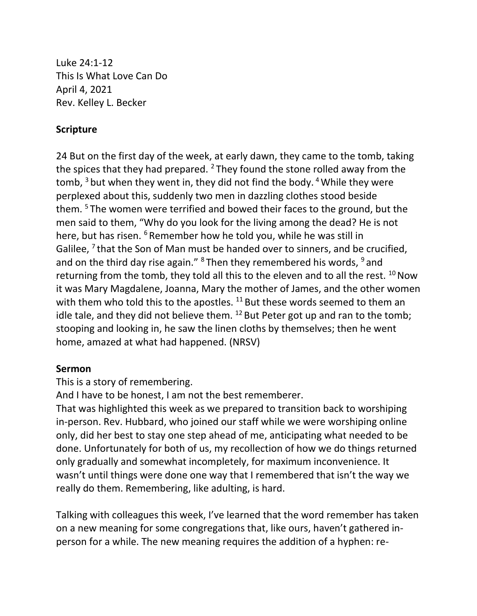Luke 24:1-12 This Is What Love Can Do April 4, 2021 Rev. Kelley L. Becker

## **Scripture**

24 But on the first day of the week, at early dawn, they came to the tomb, taking the spices that they had prepared. <sup>2</sup> They found the stone rolled away from the tomb,  $3$  but when they went in, they did not find the body.  $4$  While they were perplexed about this, suddenly two men in dazzling clothes stood beside them. <sup>5</sup> The women were terrified and bowed their faces to the ground, but the men said to them, "Why do you look for the living among the dead? He is not here, but has risen. <sup>6</sup> Remember how he told you, while he was still in Galilee,  $^7$  that the Son of Man must be handed over to sinners, and be crucified, and on the third day rise again."  $8$  Then they remembered his words,  $9$  and returning from the tomb, they told all this to the eleven and to all the rest.  $^{10}$  Now it was Mary Magdalene, Joanna, Mary the mother of James, and the other women with them who told this to the apostles.  $11$  But these words seemed to them an idle tale, and they did not believe them.  $^{12}$  But Peter got up and ran to the tomb; stooping and looking in, he saw the linen cloths by themselves; then he went home, amazed at what had happened. (NRSV)

## **Sermon**

This is a story of remembering.

And I have to be honest, I am not the best rememberer.

That was highlighted this week as we prepared to transition back to worshiping in-person. Rev. Hubbard, who joined our staff while we were worshiping online only, did her best to stay one step ahead of me, anticipating what needed to be done. Unfortunately for both of us, my recollection of how we do things returned only gradually and somewhat incompletely, for maximum inconvenience. It wasn't until things were done one way that I remembered that isn't the way we really do them. Remembering, like adulting, is hard.

Talking with colleagues this week, I've learned that the word remember has taken on a new meaning for some congregations that, like ours, haven't gathered inperson for a while. The new meaning requires the addition of a hyphen: re-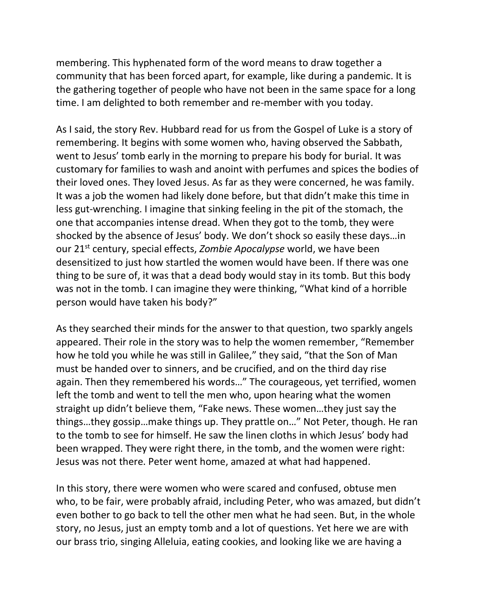membering. This hyphenated form of the word means to draw together a community that has been forced apart, for example, like during a pandemic. It is the gathering together of people who have not been in the same space for a long time. I am delighted to both remember and re-member with you today.

As I said, the story Rev. Hubbard read for us from the Gospel of Luke is a story of remembering. It begins with some women who, having observed the Sabbath, went to Jesus' tomb early in the morning to prepare his body for burial. It was customary for families to wash and anoint with perfumes and spices the bodies of their loved ones. They loved Jesus. As far as they were concerned, he was family. It was a job the women had likely done before, but that didn't make this time in less gut-wrenching. I imagine that sinking feeling in the pit of the stomach, the one that accompanies intense dread. When they got to the tomb, they were shocked by the absence of Jesus' body. We don't shock so easily these days…in our 21st century, special effects, *Zombie Apocalypse* world, we have been desensitized to just how startled the women would have been. If there was one thing to be sure of, it was that a dead body would stay in its tomb. But this body was not in the tomb. I can imagine they were thinking, "What kind of a horrible person would have taken his body?"

As they searched their minds for the answer to that question, two sparkly angels appeared. Their role in the story was to help the women remember, "Remember how he told you while he was still in Galilee," they said, "that the Son of Man must be handed over to sinners, and be crucified, and on the third day rise again. Then they remembered his words…" The courageous, yet terrified, women left the tomb and went to tell the men who, upon hearing what the women straight up didn't believe them, "Fake news. These women…they just say the things…they gossip…make things up. They prattle on…" Not Peter, though. He ran to the tomb to see for himself. He saw the linen cloths in which Jesus' body had been wrapped. They were right there, in the tomb, and the women were right: Jesus was not there. Peter went home, amazed at what had happened.

In this story, there were women who were scared and confused, obtuse men who, to be fair, were probably afraid, including Peter, who was amazed, but didn't even bother to go back to tell the other men what he had seen. But, in the whole story, no Jesus, just an empty tomb and a lot of questions. Yet here we are with our brass trio, singing Alleluia, eating cookies, and looking like we are having a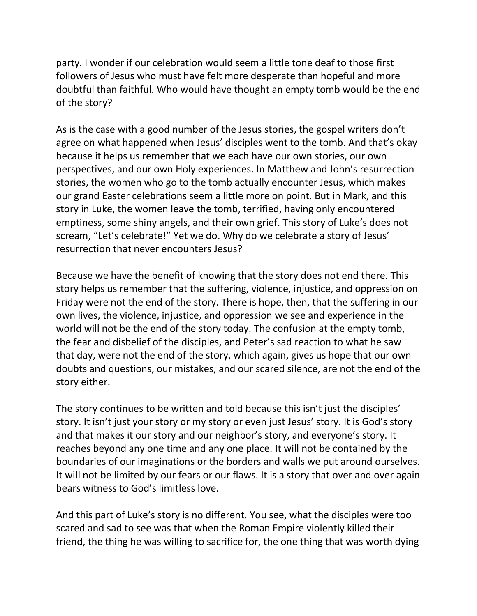party. I wonder if our celebration would seem a little tone deaf to those first followers of Jesus who must have felt more desperate than hopeful and more doubtful than faithful. Who would have thought an empty tomb would be the end of the story?

As is the case with a good number of the Jesus stories, the gospel writers don't agree on what happened when Jesus' disciples went to the tomb. And that's okay because it helps us remember that we each have our own stories, our own perspectives, and our own Holy experiences. In Matthew and John's resurrection stories, the women who go to the tomb actually encounter Jesus, which makes our grand Easter celebrations seem a little more on point. But in Mark, and this story in Luke, the women leave the tomb, terrified, having only encountered emptiness, some shiny angels, and their own grief. This story of Luke's does not scream, "Let's celebrate!" Yet we do. Why do we celebrate a story of Jesus' resurrection that never encounters Jesus?

Because we have the benefit of knowing that the story does not end there. This story helps us remember that the suffering, violence, injustice, and oppression on Friday were not the end of the story. There is hope, then, that the suffering in our own lives, the violence, injustice, and oppression we see and experience in the world will not be the end of the story today. The confusion at the empty tomb, the fear and disbelief of the disciples, and Peter's sad reaction to what he saw that day, were not the end of the story, which again, gives us hope that our own doubts and questions, our mistakes, and our scared silence, are not the end of the story either.

The story continues to be written and told because this isn't just the disciples' story. It isn't just your story or my story or even just Jesus' story. It is God's story and that makes it our story and our neighbor's story, and everyone's story. It reaches beyond any one time and any one place. It will not be contained by the boundaries of our imaginations or the borders and walls we put around ourselves. It will not be limited by our fears or our flaws. It is a story that over and over again bears witness to God's limitless love.

And this part of Luke's story is no different. You see, what the disciples were too scared and sad to see was that when the Roman Empire violently killed their friend, the thing he was willing to sacrifice for, the one thing that was worth dying